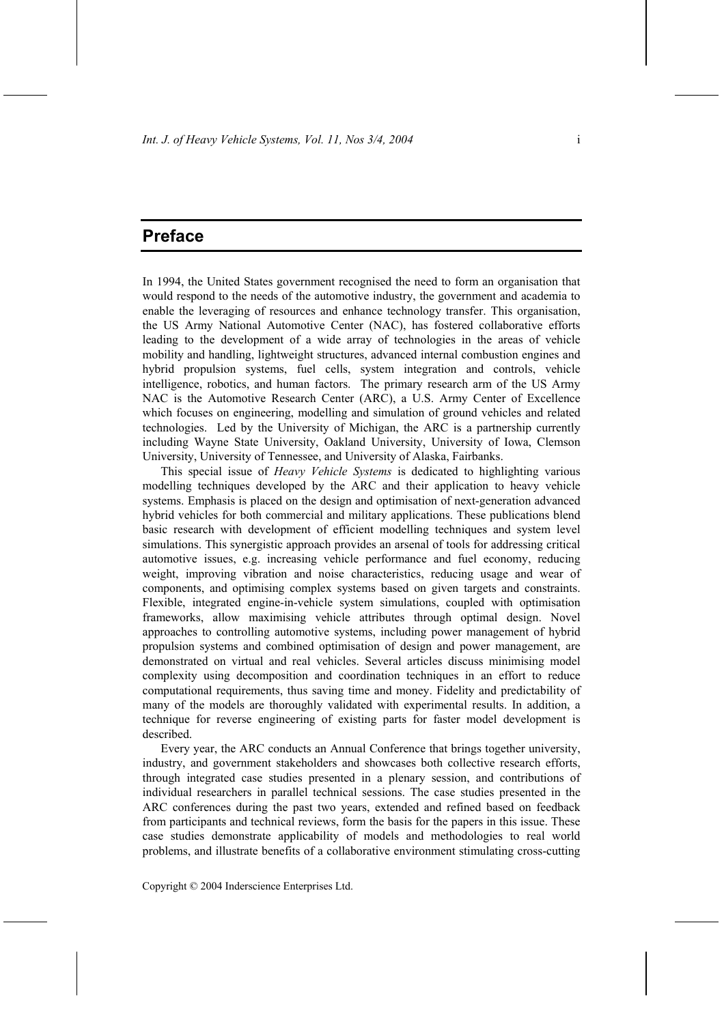## **Preface**

In 1994, the United States government recognised the need to form an organisation that would respond to the needs of the automotive industry, the government and academia to enable the leveraging of resources and enhance technology transfer. This organisation, the US Army National Automotive Center (NAC), has fostered collaborative efforts leading to the development of a wide array of technologies in the areas of vehicle mobility and handling, lightweight structures, advanced internal combustion engines and hybrid propulsion systems, fuel cells, system integration and controls, vehicle intelligence, robotics, and human factors. The primary research arm of the US Army NAC is the Automotive Research Center (ARC), a U.S. Army Center of Excellence which focuses on engineering, modelling and simulation of ground vehicles and related technologies. Led by the University of Michigan, the ARC is a partnership currently including Wayne State University, Oakland University, University of Iowa, Clemson University, University of Tennessee, and University of Alaska, Fairbanks.

This special issue of *Heavy Vehicle Systems* is dedicated to highlighting various modelling techniques developed by the ARC and their application to heavy vehicle systems. Emphasis is placed on the design and optimisation of next-generation advanced hybrid vehicles for both commercial and military applications. These publications blend basic research with development of efficient modelling techniques and system level simulations. This synergistic approach provides an arsenal of tools for addressing critical automotive issues, e.g. increasing vehicle performance and fuel economy, reducing weight, improving vibration and noise characteristics, reducing usage and wear of components, and optimising complex systems based on given targets and constraints. Flexible, integrated engine-in-vehicle system simulations, coupled with optimisation frameworks, allow maximising vehicle attributes through optimal design. Novel approaches to controlling automotive systems, including power management of hybrid propulsion systems and combined optimisation of design and power management, are demonstrated on virtual and real vehicles. Several articles discuss minimising model complexity using decomposition and coordination techniques in an effort to reduce computational requirements, thus saving time and money. Fidelity and predictability of many of the models are thoroughly validated with experimental results. In addition, a technique for reverse engineering of existing parts for faster model development is described.

Every year, the ARC conducts an Annual Conference that brings together university, industry, and government stakeholders and showcases both collective research efforts, through integrated case studies presented in a plenary session, and contributions of individual researchers in parallel technical sessions. The case studies presented in the ARC conferences during the past two years, extended and refined based on feedback from participants and technical reviews, form the basis for the papers in this issue. These case studies demonstrate applicability of models and methodologies to real world problems, and illustrate benefits of a collaborative environment stimulating cross-cutting

Copyright © 2004 Inderscience Enterprises Ltd.